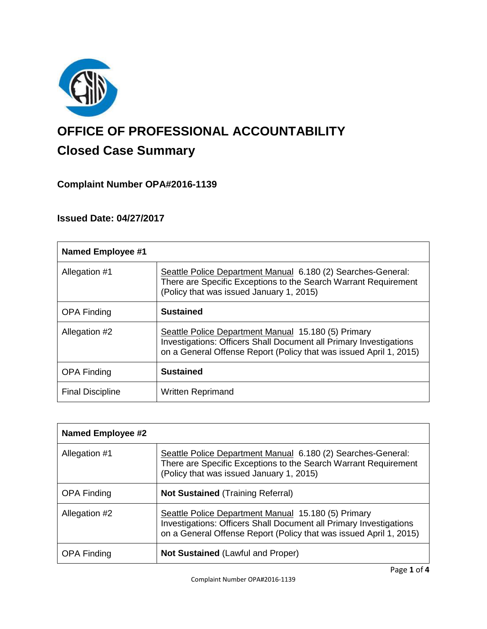

# **OFFICE OF PROFESSIONAL ACCOUNTABILITY Closed Case Summary**

# **Complaint Number OPA#2016-1139**

# **Issued Date: 04/27/2017**

| <b>Named Employee #1</b> |                                                                                                                                                                                                 |  |
|--------------------------|-------------------------------------------------------------------------------------------------------------------------------------------------------------------------------------------------|--|
| Allegation #1            | Seattle Police Department Manual 6.180 (2) Searches-General:<br>There are Specific Exceptions to the Search Warrant Requirement<br>(Policy that was issued January 1, 2015)                     |  |
| <b>OPA Finding</b>       | <b>Sustained</b>                                                                                                                                                                                |  |
| Allegation #2            | Seattle Police Department Manual 15.180 (5) Primary<br>Investigations: Officers Shall Document all Primary Investigations<br>on a General Offense Report (Policy that was issued April 1, 2015) |  |
| <b>OPA Finding</b>       | <b>Sustained</b>                                                                                                                                                                                |  |
| <b>Final Discipline</b>  | <b>Written Reprimand</b>                                                                                                                                                                        |  |

| <b>Named Employee #2</b> |                                                                                                                                                                                                        |
|--------------------------|--------------------------------------------------------------------------------------------------------------------------------------------------------------------------------------------------------|
| Allegation #1            | Seattle Police Department Manual 6.180 (2) Searches-General:<br>There are Specific Exceptions to the Search Warrant Requirement<br>(Policy that was issued January 1, 2015)                            |
| <b>OPA Finding</b>       | <b>Not Sustained (Training Referral)</b>                                                                                                                                                               |
| Allegation #2            | Seattle Police Department Manual 15.180 (5) Primary<br><b>Investigations: Officers Shall Document all Primary Investigations</b><br>on a General Offense Report (Policy that was issued April 1, 2015) |
| <b>OPA Finding</b>       | <b>Not Sustained (Lawful and Proper)</b>                                                                                                                                                               |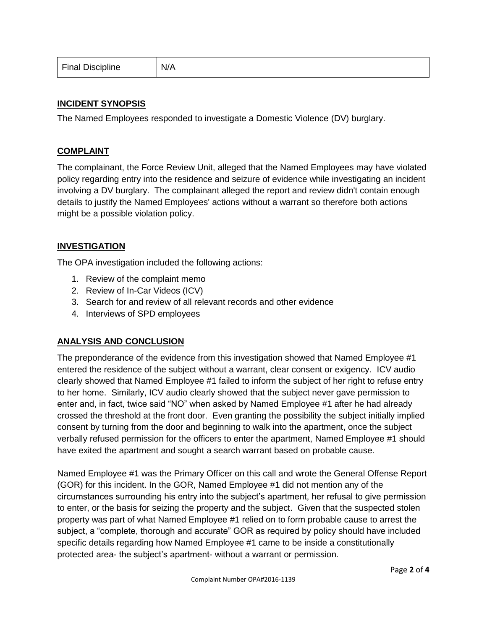| N/A<br><b>Final Discipline</b> |  |
|--------------------------------|--|
|--------------------------------|--|

#### **INCIDENT SYNOPSIS**

The Named Employees responded to investigate a Domestic Violence (DV) burglary.

#### **COMPLAINT**

The complainant, the Force Review Unit, alleged that the Named Employees may have violated policy regarding entry into the residence and seizure of evidence while investigating an incident involving a DV burglary. The complainant alleged the report and review didn't contain enough details to justify the Named Employees' actions without a warrant so therefore both actions might be a possible violation policy.

## **INVESTIGATION**

The OPA investigation included the following actions:

- 1. Review of the complaint memo
- 2. Review of In-Car Videos (ICV)
- 3. Search for and review of all relevant records and other evidence
- 4. Interviews of SPD employees

#### **ANALYSIS AND CONCLUSION**

The preponderance of the evidence from this investigation showed that Named Employee #1 entered the residence of the subject without a warrant, clear consent or exigency. ICV audio clearly showed that Named Employee #1 failed to inform the subject of her right to refuse entry to her home. Similarly, ICV audio clearly showed that the subject never gave permission to enter and, in fact, twice said "NO" when asked by Named Employee #1 after he had already crossed the threshold at the front door. Even granting the possibility the subject initially implied consent by turning from the door and beginning to walk into the apartment, once the subject verbally refused permission for the officers to enter the apartment, Named Employee #1 should have exited the apartment and sought a search warrant based on probable cause.

Named Employee #1 was the Primary Officer on this call and wrote the General Offense Report (GOR) for this incident. In the GOR, Named Employee #1 did not mention any of the circumstances surrounding his entry into the subject's apartment, her refusal to give permission to enter, or the basis for seizing the property and the subject. Given that the suspected stolen property was part of what Named Employee #1 relied on to form probable cause to arrest the subject, a "complete, thorough and accurate" GOR as required by policy should have included specific details regarding how Named Employee #1 came to be inside a constitutionally protected area- the subject's apartment- without a warrant or permission.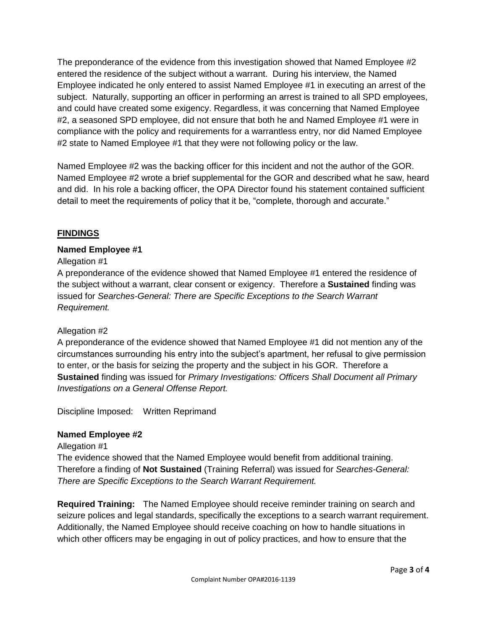The preponderance of the evidence from this investigation showed that Named Employee #2 entered the residence of the subject without a warrant. During his interview, the Named Employee indicated he only entered to assist Named Employee #1 in executing an arrest of the subject. Naturally, supporting an officer in performing an arrest is trained to all SPD employees, and could have created some exigency. Regardless, it was concerning that Named Employee #2, a seasoned SPD employee, did not ensure that both he and Named Employee #1 were in compliance with the policy and requirements for a warrantless entry, nor did Named Employee #2 state to Named Employee #1 that they were not following policy or the law.

Named Employee #2 was the backing officer for this incident and not the author of the GOR. Named Employee #2 wrote a brief supplemental for the GOR and described what he saw, heard and did. In his role a backing officer, the OPA Director found his statement contained sufficient detail to meet the requirements of policy that it be, "complete, thorough and accurate."

# **FINDINGS**

# **Named Employee #1**

## Allegation #1

A preponderance of the evidence showed that Named Employee #1 entered the residence of the subject without a warrant, clear consent or exigency. Therefore a **Sustained** finding was issued for *Searches-General: There are Specific Exceptions to the Search Warrant Requirement.*

# Allegation #2

A preponderance of the evidence showed that Named Employee #1 did not mention any of the circumstances surrounding his entry into the subject's apartment, her refusal to give permission to enter, or the basis for seizing the property and the subject in his GOR. Therefore a **Sustained** finding was issued for *Primary Investigations: Officers Shall Document all Primary Investigations on a General Offense Report.*

Discipline Imposed: Written Reprimand

# **Named Employee #2**

Allegation #1 The evidence showed that the Named Employee would benefit from additional training. Therefore a finding of **Not Sustained** (Training Referral) was issued for *Searches-General: There are Specific Exceptions to the Search Warrant Requirement.*

**Required Training:** The Named Employee should receive reminder training on search and seizure polices and legal standards, specifically the exceptions to a search warrant requirement. Additionally, the Named Employee should receive coaching on how to handle situations in which other officers may be engaging in out of policy practices, and how to ensure that the